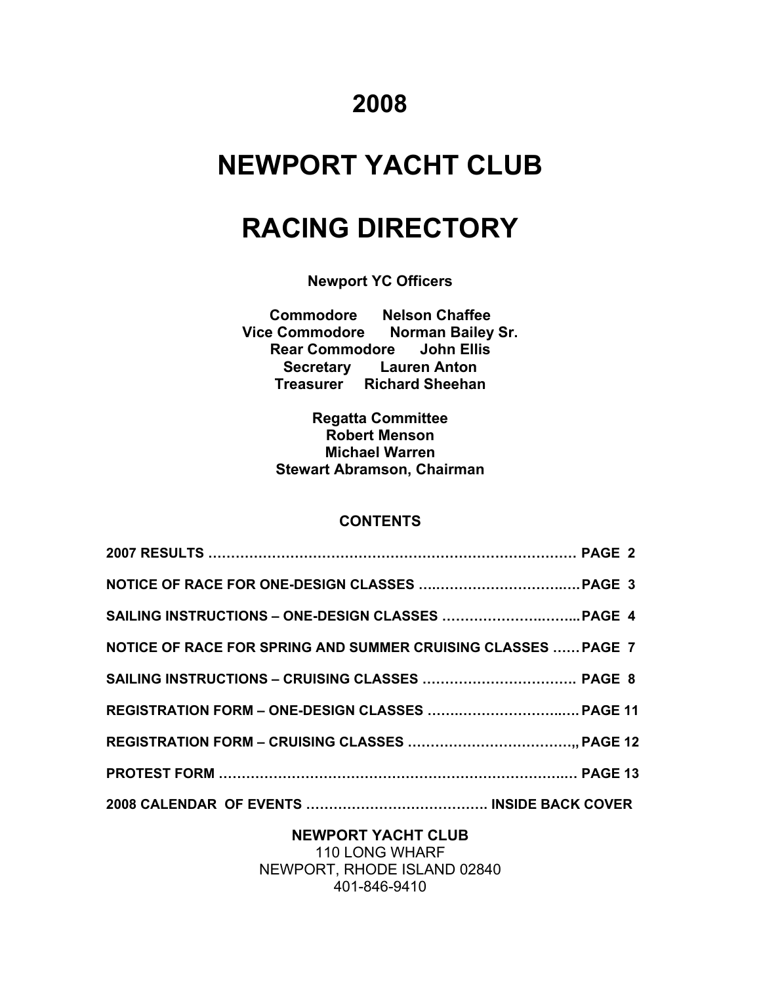# **2008**

# **NEWPORT YACHT CLUB**

# **RACING DIRECTORY**

**Newport YC Officers** 

**Commodore Nelson Chaffee Vice Commodore Norman Bailey Sr. Rear Commodore John Ellis Secretary Lauren Anton Treasurer Richard Sheehan** 

> **Regatta Committee Robert Menson Michael Warren Stewart Abramson, Chairman**

#### **CONTENTS**

| NOTICE OF RACE FOR SPRING AND SUMMER CRUISING CLASSES  PAGE 7 |  |
|---------------------------------------------------------------|--|
|                                                               |  |
|                                                               |  |
|                                                               |  |
|                                                               |  |
|                                                               |  |

**NEWPORT YACHT CLUB**  110 LONG WHARF NEWPORT, RHODE ISLAND 02840 401-846-9410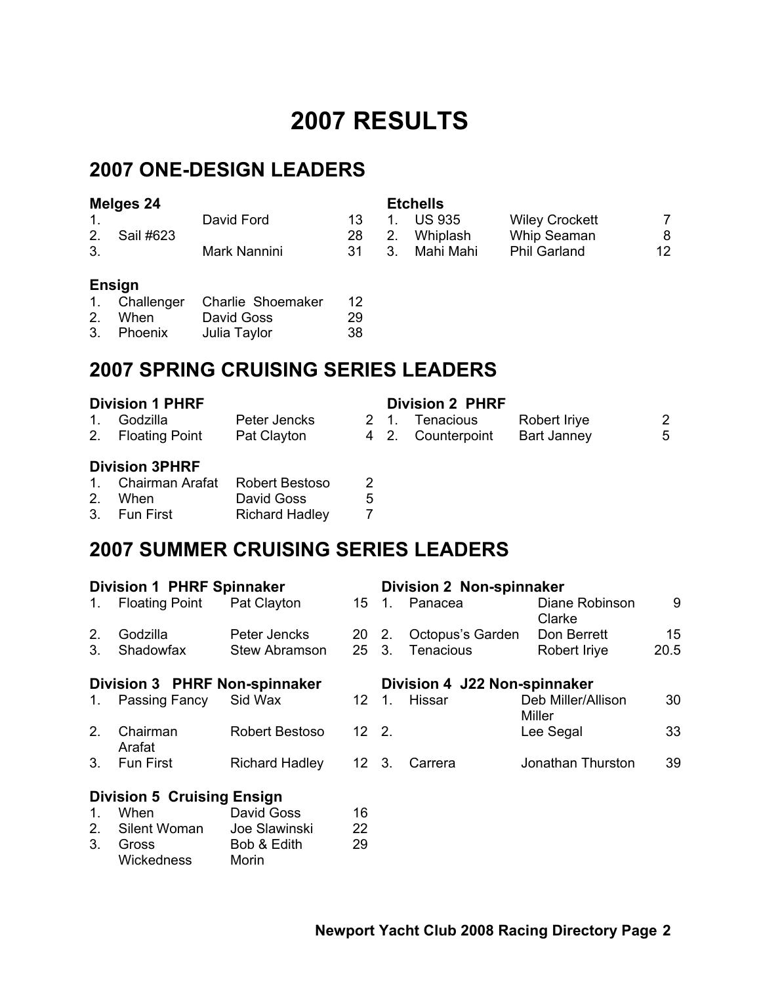# **2007 RESULTS**

## **2007 ONE-DESIGN LEADERS**

| Melges 24 |           |              | <b>Etchells</b> |             |           |                       |    |
|-----------|-----------|--------------|-----------------|-------------|-----------|-----------------------|----|
|           |           | David Ford   | 13.             |             | 1. US 935 | <b>Wiley Crockett</b> |    |
| 2.        | Sail #623 |              | 28.             | $2_{\cdot}$ | Whiplash  | Whip Seaman           | 8  |
|           |           | Mark Nannini | -31             | -3.         | Mahi Mahi | <b>Phil Garland</b>   | 12 |

#### **Ensign**

|            | 1. Challenger Charlie Shoemaker | 12. |
|------------|---------------------------------|-----|
| 2. When    | David Goss                      | 29  |
| 3. Phoenix | Julia Taylor                    | 38  |

### **2007 SPRING CRUISING SERIES LEADERS**

| <b>Division 1 PHRF</b> |                       |                |    | <b>Division 2 PHRF</b> |                    |   |
|------------------------|-----------------------|----------------|----|------------------------|--------------------|---|
| $1_{\cdot}$            | Godzilla              | Peter Jencks   | 21 | Tenacious              | Robert Iriye       | 2 |
|                        | 2. Floating Point     | Pat Clayton    |    | 4 2. Counterpoint      | <b>Bart Janney</b> | 5 |
|                        | <b>Division 3PHRF</b> |                |    |                        |                    |   |
|                        | 1 Chairman Arafat     | Rohert Restoso |    |                        |                    |   |

| 1. Chairman Arafat Robert Bestoso |                       |   |
|-----------------------------------|-----------------------|---|
| 2. When                           | David Goss            | 5 |
| 3. Fun First                      | <b>Richard Hadley</b> |   |

## **2007 SUMMER CRUISING SERIES LEADERS**

| <b>Division 1 PHRF Spinnaker</b> |                                   |                       |               |                              | <b>Division 2 Non-spinnaker</b> |                              |      |  |
|----------------------------------|-----------------------------------|-----------------------|---------------|------------------------------|---------------------------------|------------------------------|------|--|
| 1.                               | <b>Floating Point</b>             | Pat Clayton           |               |                              | 15 1. Panacea                   | Diane Robinson<br>Clarke     | 9    |  |
| 2.                               | Godzilla                          | Peter Jencks          | 20 2.         |                              | Octopus's Garden                | Don Berrett                  | 15   |  |
| 3.                               | Shadowfax                         | Stew Abramson         | $25 \quad 3.$ |                              | <b>Tenacious</b>                | Robert Iriye                 | 20.5 |  |
| Division 3 PHRF Non-spinnaker    |                                   |                       |               | Division 4 J22 Non-spinnaker |                                 |                              |      |  |
|                                  | 1. Passing Fancy                  | Sid Wax               | 12            | $1_{-}$                      | Hissar                          | Deb Miller/Allison<br>Miller | 30   |  |
| 2.                               | Chairman<br>Arafat                | Robert Bestoso        | $12 \quad 2.$ |                              |                                 | Lee Segal                    | 33   |  |
| 3.                               | <b>Fun First</b>                  | <b>Richard Hadley</b> | $12 \quad 3.$ |                              | Carrera                         | Jonathan Thurston            | 39   |  |
|                                  | <b>Division 5 Cruising Ensign</b> |                       |               |                              |                                 |                              |      |  |
| $\mathbf{1}$ .                   | When                              | David Goss            | 16            |                              |                                 |                              |      |  |
| 2.                               | Silent Woman                      | Joe Slawinski         | 22            |                              |                                 |                              |      |  |
| 3.                               | Gross<br>Wickedness               | Bob & Edith<br>Morin  | 29            |                              |                                 |                              |      |  |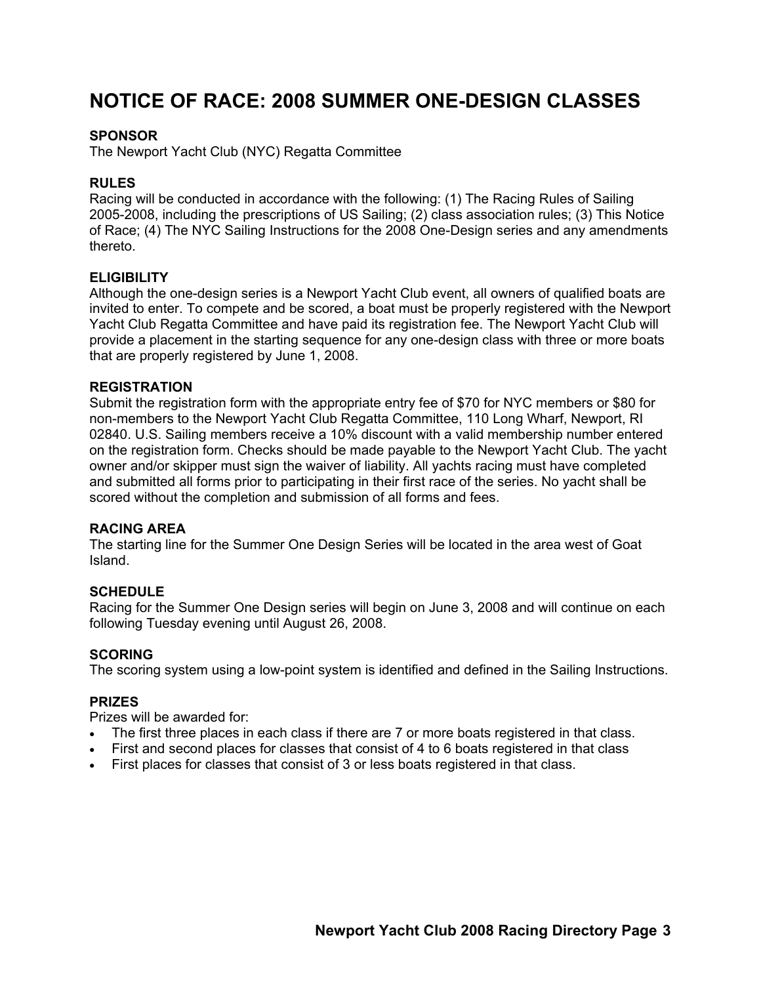### **NOTICE OF RACE: 2008 SUMMER ONE-DESIGN CLASSES**

#### **SPONSOR**

The Newport Yacht Club (NYC) Regatta Committee

#### **RULES**

Racing will be conducted in accordance with the following: (1) The Racing Rules of Sailing 2005-2008, including the prescriptions of US Sailing; (2) class association rules; (3) This Notice of Race; (4) The NYC Sailing Instructions for the 2008 One-Design series and any amendments thereto.

#### **ELIGIBILITY**

Although the one-design series is a Newport Yacht Club event, all owners of qualified boats are invited to enter. To compete and be scored, a boat must be properly registered with the Newport Yacht Club Regatta Committee and have paid its registration fee. The Newport Yacht Club will provide a placement in the starting sequence for any one-design class with three or more boats that are properly registered by June 1, 2008.

#### **REGISTRATION**

Submit the registration form with the appropriate entry fee of \$70 for NYC members or \$80 for non-members to the Newport Yacht Club Regatta Committee, 110 Long Wharf, Newport, RI 02840. U.S. Sailing members receive a 10% discount with a valid membership number entered on the registration form. Checks should be made payable to the Newport Yacht Club. The yacht owner and/or skipper must sign the waiver of liability. All yachts racing must have completed and submitted all forms prior to participating in their first race of the series. No yacht shall be scored without the completion and submission of all forms and fees.

#### **RACING AREA**

The starting line for the Summer One Design Series will be located in the area west of Goat Island.

#### **SCHEDULE**

Racing for the Summer One Design series will begin on June 3, 2008 and will continue on each following Tuesday evening until August 26, 2008.

#### **SCORING**

The scoring system using a low-point system is identified and defined in the Sailing Instructions.

#### **PRIZES**

Prizes will be awarded for:

- The first three places in each class if there are 7 or more boats registered in that class.
- First and second places for classes that consist of 4 to 6 boats registered in that class
- First places for classes that consist of 3 or less boats registered in that class.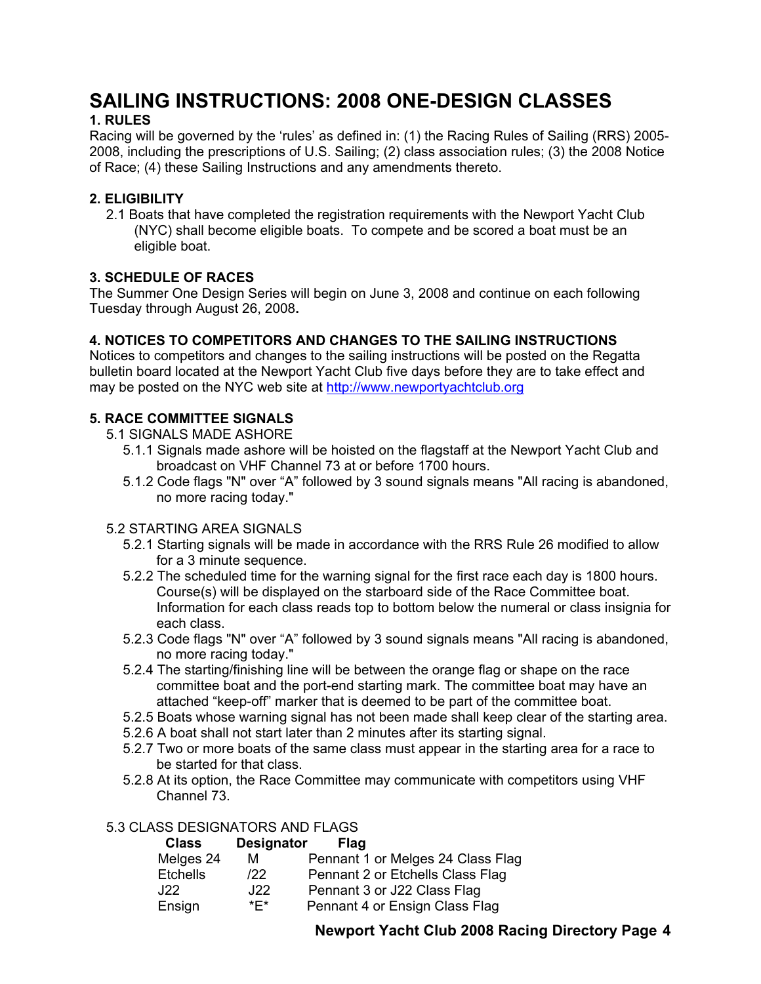### **SAILING INSTRUCTIONS: 2008 ONE-DESIGN CLASSES 1. RULES**

Racing will be governed by the 'rules' as defined in: (1) the Racing Rules of Sailing (RRS) 2005- 2008, including the prescriptions of U.S. Sailing; (2) class association rules; (3) the 2008 Notice of Race; (4) these Sailing Instructions and any amendments thereto.

#### **2. ELIGIBILITY**

2.1 Boats that have completed the registration requirements with the Newport Yacht Club (NYC) shall become eligible boats. To compete and be scored a boat must be an eligible boat.

#### **3. SCHEDULE OF RACES**

The Summer One Design Series will begin on June 3, 2008 and continue on each following Tuesday through August 26, 2008**.** 

#### **4. NOTICES TO COMPETITORS AND CHANGES TO THE SAILING INSTRUCTIONS**

Notices to competitors and changes to the sailing instructions will be posted on the Regatta bulletin board located at the Newport Yacht Club five days before they are to take effect and may be posted on the NYC web site at http://www.newportyachtclub.org

#### **5. RACE COMMITTEE SIGNALS**

- 5.1 SIGNALS MADE ASHORE
	- 5.1.1 Signals made ashore will be hoisted on the flagstaff at the Newport Yacht Club and broadcast on VHF Channel 73 at or before 1700 hours.
	- 5.1.2 Code flags "N" over "A" followed by 3 sound signals means "All racing is abandoned, no more racing today."

#### 5.2 STARTING AREA SIGNALS

- 5.2.1 Starting signals will be made in accordance with the RRS Rule 26 modified to allow for a 3 minute sequence.
- 5.2.2 The scheduled time for the warning signal for the first race each day is 1800 hours. Course(s) will be displayed on the starboard side of the Race Committee boat. Information for each class reads top to bottom below the numeral or class insignia for each class.
- 5.2.3 Code flags "N" over "A" followed by 3 sound signals means "All racing is abandoned, no more racing today."
- 5.2.4 The starting/finishing line will be between the orange flag or shape on the race committee boat and the port-end starting mark. The committee boat may have an attached "keep-off" marker that is deemed to be part of the committee boat.
- 5.2.5 Boats whose warning signal has not been made shall keep clear of the starting area.
- 5.2.6 A boat shall not start later than 2 minutes after its starting signal.
- 5.2.7 Two or more boats of the same class must appear in the starting area for a race to be started for that class.
- 5.2.8 At its option, the Race Committee may communicate with competitors using VHF Channel 73.

#### 5.3 CLASS DESIGNATORS AND FLAGS

| <b>Class</b>    | <b>Designator</b> | Flag                              |
|-----------------|-------------------|-----------------------------------|
| Melges 24       | м                 | Pennant 1 or Melges 24 Class Flag |
| <b>Etchells</b> | 122               | Pennant 2 or Etchells Class Flag  |
| J22             | J22               | Pennant 3 or J22 Class Flag       |
| Ensign          | *F*               | Pennant 4 or Ensign Class Flag    |

#### **Newport Yacht Club 2008 Racing Directory Page 4**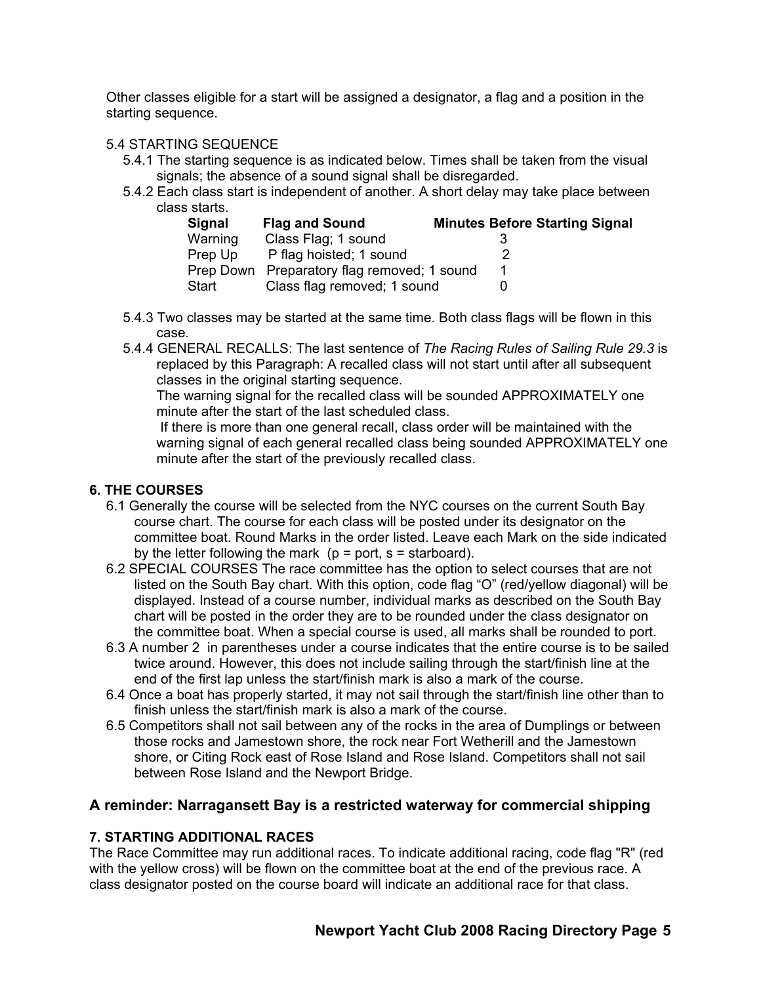Other classes eligible for a start will be assigned a designator, a flag and a position in the starting sequence.

#### 5.4 STARTING SEQUENCE

- 5.4.1 The starting sequence is as indicated below. Times shall be taken from the visual signals; the absence of a sound signal shall be disregarded.
- 5.4.2 Each class start is independent of another. A short delay may take place between class starts.

| Signal  | <b>Flag and Sound</b>                       | <b>Minutes Before Starting Signal</b> |
|---------|---------------------------------------------|---------------------------------------|
| Warning | Class Flag; 1 sound                         |                                       |
| Prep Up | P flag hoisted; 1 sound                     |                                       |
|         | Prep Down Preparatory flag removed; 1 sound |                                       |
| Start   | Class flag removed; 1 sound                 |                                       |

- 5.4.3 Two classes may be started at the same time. Both class flags will be flown in this case.
- 5.4.4 GENERAL RECALLS: The last sentence of *The Racing Rules of Sailing Rule 29.3* is replaced by this Paragraph: A recalled class will not start until after all subsequent classes in the original starting sequence.

The warning signal for the recalled class will be sounded APPROXIMATELY one minute after the start of the last scheduled class.

 If there is more than one general recall, class order will be maintained with the warning signal of each general recalled class being sounded APPROXIMATELY one minute after the start of the previously recalled class.

#### **6. THE COURSES**

- 6.1 Generally the course will be selected from the NYC courses on the current South Bay course chart. The course for each class will be posted under its designator on the committee boat. Round Marks in the order listed. Leave each Mark on the side indicated by the letter following the mark ( $p = port$ ,  $s = starboard$ ).
- 6.2 SPECIAL COURSES The race committee has the option to select courses that are not listed on the South Bay chart. With this option, code flag "O" (red/yellow diagonal) will be displayed. Instead of a course number, individual marks as described on the South Bay chart will be posted in the order they are to be rounded under the class designator on the committee boat. When a special course is used, all marks shall be rounded to port.
- 6.3 A number 2 in parentheses under a course indicates that the entire course is to be sailed twice around. However, this does not include sailing through the start/finish line at the end of the first lap unless the start/finish mark is also a mark of the course.
- 6.4 Once a boat has properly started, it may not sail through the start/finish line other than to finish unless the start/finish mark is also a mark of the course.
- 6.5 Competitors shall not sail between any of the rocks in the area of Dumplings or between those rocks and Jamestown shore, the rock near Fort Wetherill and the Jamestown shore, or Citing Rock east of Rose Island and Rose Island. Competitors shall not sail between Rose Island and the Newport Bridge.

#### **A reminder: Narragansett Bay is a restricted waterway for commercial shipping**

#### **7. STARTING ADDITIONAL RACES**

The Race Committee may run additional races. To indicate additional racing, code flag "R" (red with the yellow cross) will be flown on the committee boat at the end of the previous race. A class designator posted on the course board will indicate an additional race for that class.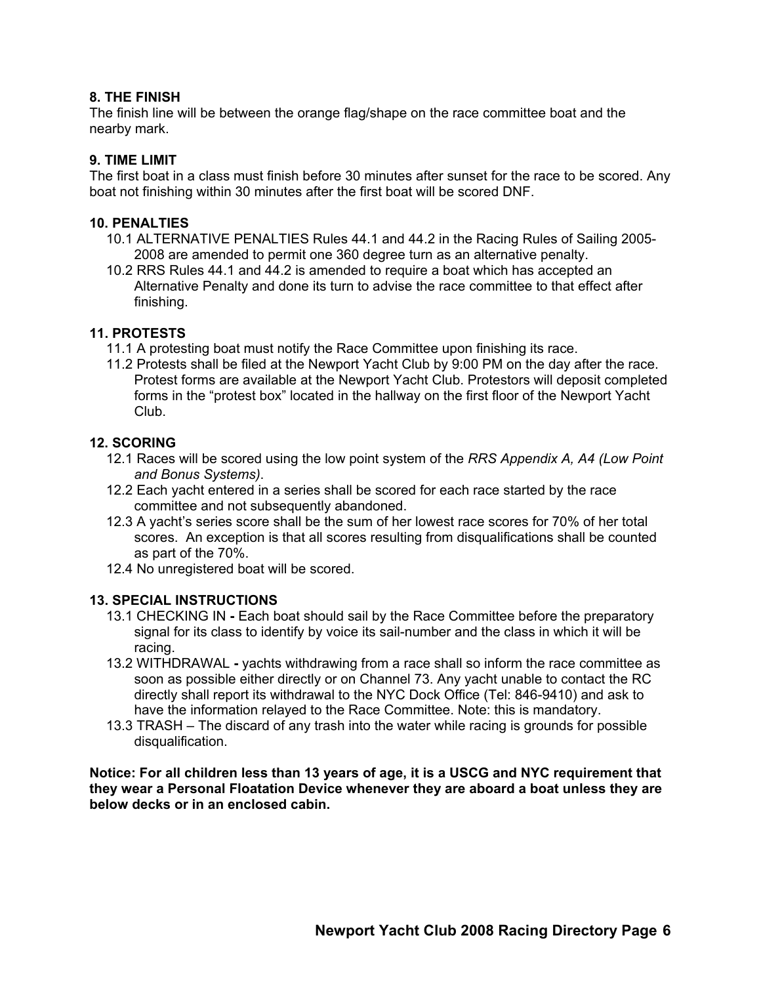#### **8. THE FINISH**

The finish line will be between the orange flag/shape on the race committee boat and the nearby mark.

#### **9. TIME LIMIT**

The first boat in a class must finish before 30 minutes after sunset for the race to be scored. Any boat not finishing within 30 minutes after the first boat will be scored DNF.

#### **10. PENALTIES**

- 10.1 ALTERNATIVE PENALTIES Rules 44.1 and 44.2 in the Racing Rules of Sailing 2005- 2008 are amended to permit one 360 degree turn as an alternative penalty.
- 10.2 RRS Rules 44.1 and 44.2 is amended to require a boat which has accepted an Alternative Penalty and done its turn to advise the race committee to that effect after finishing.

#### **11. PROTESTS**

- 11.1 A protesting boat must notify the Race Committee upon finishing its race.
- 11.2 Protests shall be filed at the Newport Yacht Club by 9:00 PM on the day after the race. Protest forms are available at the Newport Yacht Club. Protestors will deposit completed forms in the "protest box" located in the hallway on the first floor of the Newport Yacht Club.

#### **12. SCORING**

- 12.1 Races will be scored using the low point system of the *RRS Appendix A, A4 (Low Point and Bonus Systems)*.
- 12.2 Each yacht entered in a series shall be scored for each race started by the race committee and not subsequently abandoned.
- 12.3 A yacht's series score shall be the sum of her lowest race scores for 70% of her total scores. An exception is that all scores resulting from disqualifications shall be counted as part of the 70%.
- 12.4 No unregistered boat will be scored.

#### **13. SPECIAL INSTRUCTIONS**

- 13.1 CHECKING IN Each boat should sail by the Race Committee before the preparatory signal for its class to identify by voice its sail-number and the class in which it will be racing.
- 13.2 WITHDRAWAL yachts withdrawing from a race shall so inform the race committee as soon as possible either directly or on Channel 73. Any yacht unable to contact the RC directly shall report its withdrawal to the NYC Dock Office (Tel: 846-9410) and ask to have the information relayed to the Race Committee. Note: this is mandatory.
- 13.3 TRASH The discard of any trash into the water while racing is grounds for possible disqualification.

**Notice: For all children less than 13 years of age, it is a USCG and NYC requirement that they wear a Personal Floatation Device whenever they are aboard a boat unless they are below decks or in an enclosed cabin.**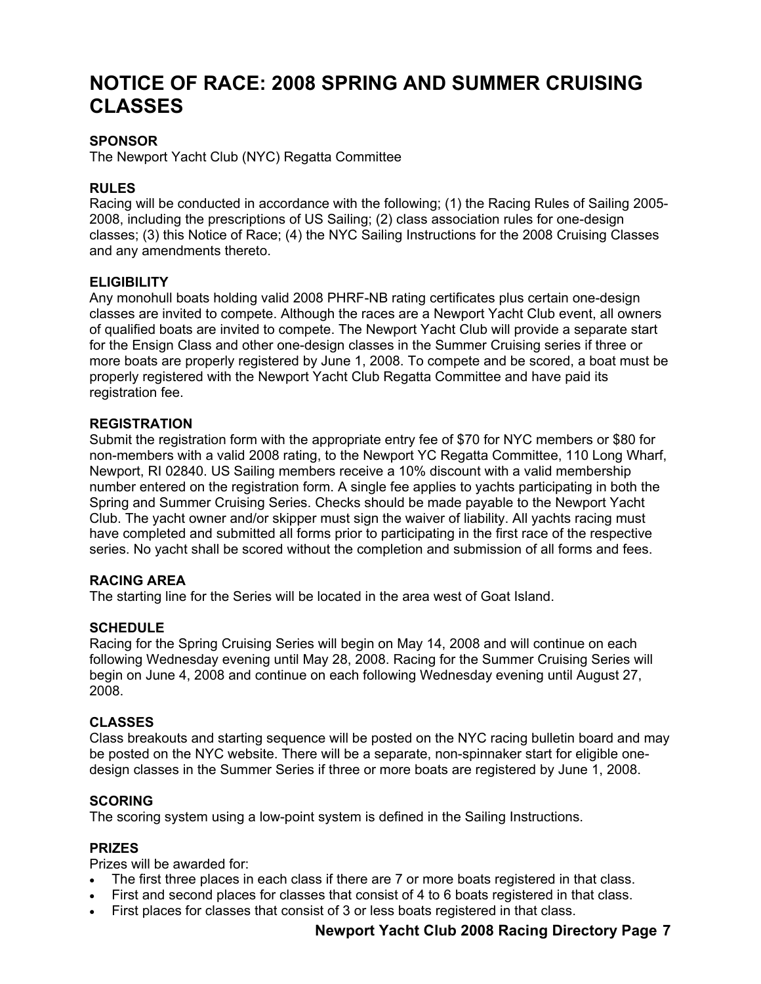### **NOTICE OF RACE: 2008 SPRING AND SUMMER CRUISING CLASSES**

#### **SPONSOR**

The Newport Yacht Club (NYC) Regatta Committee

#### **RULES**

Racing will be conducted in accordance with the following; (1) the Racing Rules of Sailing 2005- 2008, including the prescriptions of US Sailing; (2) class association rules for one-design classes; (3) this Notice of Race; (4) the NYC Sailing Instructions for the 2008 Cruising Classes and any amendments thereto.

#### **ELIGIBILITY**

Any monohull boats holding valid 2008 PHRF-NB rating certificates plus certain one-design classes are invited to compete. Although the races are a Newport Yacht Club event, all owners of qualified boats are invited to compete. The Newport Yacht Club will provide a separate start for the Ensign Class and other one-design classes in the Summer Cruising series if three or more boats are properly registered by June 1, 2008. To compete and be scored, a boat must be properly registered with the Newport Yacht Club Regatta Committee and have paid its registration fee.

#### **REGISTRATION**

Submit the registration form with the appropriate entry fee of \$70 for NYC members or \$80 for non-members with a valid 2008 rating, to the Newport YC Regatta Committee, 110 Long Wharf, Newport, RI 02840. US Sailing members receive a 10% discount with a valid membership number entered on the registration form. A single fee applies to yachts participating in both the Spring and Summer Cruising Series. Checks should be made payable to the Newport Yacht Club. The yacht owner and/or skipper must sign the waiver of liability. All yachts racing must have completed and submitted all forms prior to participating in the first race of the respective series. No yacht shall be scored without the completion and submission of all forms and fees.

#### **RACING AREA**

The starting line for the Series will be located in the area west of Goat Island.

#### **SCHEDULE**

Racing for the Spring Cruising Series will begin on May 14, 2008 and will continue on each following Wednesday evening until May 28, 2008. Racing for the Summer Cruising Series will begin on June 4, 2008 and continue on each following Wednesday evening until August 27, 2008.

#### **CLASSES**

Class breakouts and starting sequence will be posted on the NYC racing bulletin board and may be posted on the NYC website. There will be a separate, non-spinnaker start for eligible onedesign classes in the Summer Series if three or more boats are registered by June 1, 2008.

#### **SCORING**

The scoring system using a low-point system is defined in the Sailing Instructions.

#### **PRIZES**

Prizes will be awarded for:

- The first three places in each class if there are 7 or more boats registered in that class.
- First and second places for classes that consist of 4 to 6 boats registered in that class.
- First places for classes that consist of 3 or less boats registered in that class.

#### **Newport Yacht Club 2008 Racing Directory Page 7**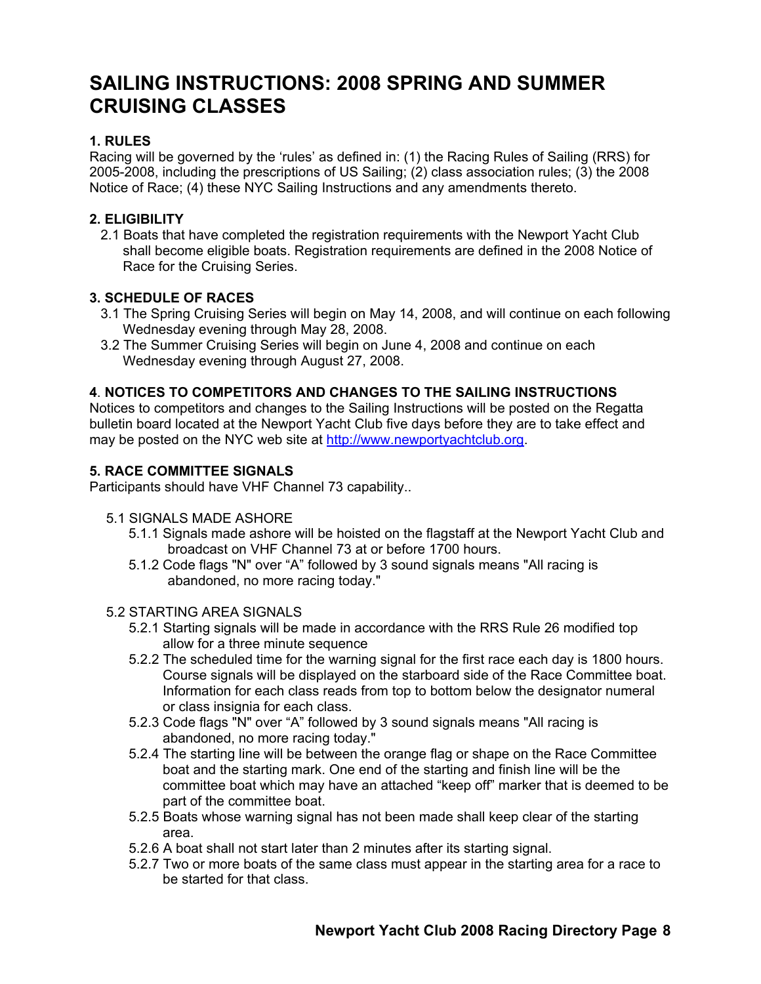### **SAILING INSTRUCTIONS: 2008 SPRING AND SUMMER CRUISING CLASSES**

#### **1. RULES**

Racing will be governed by the 'rules' as defined in: (1) the Racing Rules of Sailing (RRS) for 2005-2008, including the prescriptions of US Sailing; (2) class association rules; (3) the 2008 Notice of Race; (4) these NYC Sailing Instructions and any amendments thereto.

#### **2. ELIGIBILITY**

2.1 Boats that have completed the registration requirements with the Newport Yacht Club shall become eligible boats. Registration requirements are defined in the 2008 Notice of Race for the Cruising Series.

#### **3. SCHEDULE OF RACES**

- 3.1 The Spring Cruising Series will begin on May 14, 2008, and will continue on each following Wednesday evening through May 28, 2008.
- 3.2 The Summer Cruising Series will begin on June 4, 2008 and continue on each Wednesday evening through August 27, 2008.

#### **4**. **NOTICES TO COMPETITORS AND CHANGES TO THE SAILING INSTRUCTIONS**

Notices to competitors and changes to the Sailing Instructions will be posted on the Regatta bulletin board located at the Newport Yacht Club five days before they are to take effect and may be posted on the NYC web site at http://www.newportyachtclub.org.

#### **5. RACE COMMITTEE SIGNALS**

Participants should have VHF Channel 73 capability..

- 5.1 SIGNALS MADE ASHORE
	- 5.1.1 Signals made ashore will be hoisted on the flagstaff at the Newport Yacht Club and broadcast on VHF Channel 73 at or before 1700 hours.
	- 5.1.2 Code flags "N" over "A" followed by 3 sound signals means "All racing is abandoned, no more racing today."
- 5.2 STARTING AREA SIGNALS
	- 5.2.1 Starting signals will be made in accordance with the RRS Rule 26 modified top allow for a three minute sequence
	- 5.2.2 The scheduled time for the warning signal for the first race each day is 1800 hours. Course signals will be displayed on the starboard side of the Race Committee boat. Information for each class reads from top to bottom below the designator numeral or class insignia for each class.
	- 5.2.3 Code flags "N" over "A" followed by 3 sound signals means "All racing is abandoned, no more racing today."
	- 5.2.4 The starting line will be between the orange flag or shape on the Race Committee boat and the starting mark. One end of the starting and finish line will be the committee boat which may have an attached "keep off" marker that is deemed to be part of the committee boat.
	- 5.2.5 Boats whose warning signal has not been made shall keep clear of the starting area.
	- 5.2.6 A boat shall not start later than 2 minutes after its starting signal.
	- 5.2.7 Two or more boats of the same class must appear in the starting area for a race to be started for that class.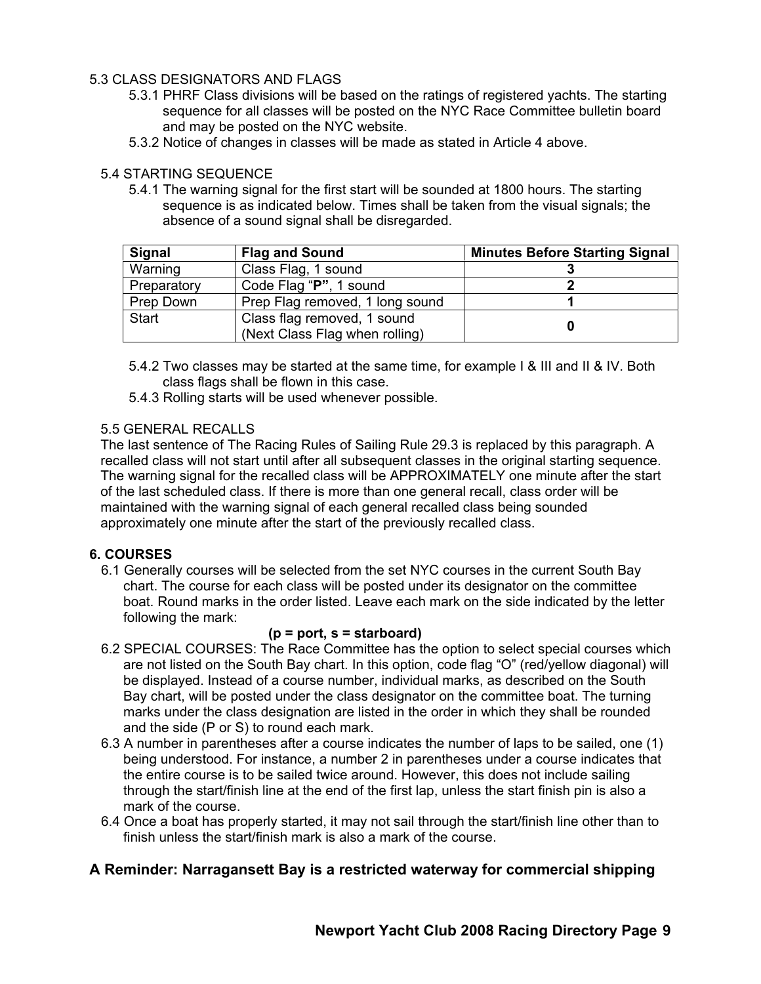#### 5.3 CLASS DESIGNATORS AND FLAGS

- 5.3.1 PHRF Class divisions will be based on the ratings of registered yachts. The starting sequence for all classes will be posted on the NYC Race Committee bulletin board and may be posted on the NYC website.
- 5.3.2 Notice of changes in classes will be made as stated in Article 4 above.

#### 5.4 STARTING SEQUENCE

5.4.1 The warning signal for the first start will be sounded at 1800 hours. The starting sequence is as indicated below. Times shall be taken from the visual signals; the absence of a sound signal shall be disregarded.

| <b>Signal</b> | <b>Flag and Sound</b>           | <b>Minutes Before Starting Signal</b> |
|---------------|---------------------------------|---------------------------------------|
| Warning       | Class Flag, 1 sound             |                                       |
| Preparatory   | Code Flag "P", 1 sound          |                                       |
| Prep Down     | Prep Flag removed, 1 long sound |                                       |
| <b>Start</b>  | Class flag removed, 1 sound     |                                       |
|               | (Next Class Flag when rolling)  |                                       |

- 5.4.2 Two classes may be started at the same time, for example I & III and II & IV. Both class flags shall be flown in this case.
- 5.4.3 Rolling starts will be used whenever possible.

#### 5.5 GENERAL RECALLS

The last sentence of The Racing Rules of Sailing Rule 29.3 is replaced by this paragraph. A recalled class will not start until after all subsequent classes in the original starting sequence. The warning signal for the recalled class will be APPROXIMATELY one minute after the start of the last scheduled class. If there is more than one general recall, class order will be maintained with the warning signal of each general recalled class being sounded approximately one minute after the start of the previously recalled class.

#### **6. COURSES**

6.1 Generally courses will be selected from the set NYC courses in the current South Bay chart. The course for each class will be posted under its designator on the committee boat. Round marks in the order listed. Leave each mark on the side indicated by the letter following the mark:

#### **(p = port, s = starboard)**

- 6.2 SPECIAL COURSES: The Race Committee has the option to select special courses which are not listed on the South Bay chart. In this option, code flag "O" (red/yellow diagonal) will be displayed. Instead of a course number, individual marks, as described on the South Bay chart, will be posted under the class designator on the committee boat. The turning marks under the class designation are listed in the order in which they shall be rounded and the side (P or S) to round each mark.
- 6.3 A number in parentheses after a course indicates the number of laps to be sailed, one (1) being understood. For instance, a number 2 in parentheses under a course indicates that the entire course is to be sailed twice around. However, this does not include sailing through the start/finish line at the end of the first lap, unless the start finish pin is also a mark of the course.
- 6.4 Once a boat has properly started, it may not sail through the start/finish line other than to finish unless the start/finish mark is also a mark of the course.

#### **A Reminder: Narragansett Bay is a restricted waterway for commercial shipping**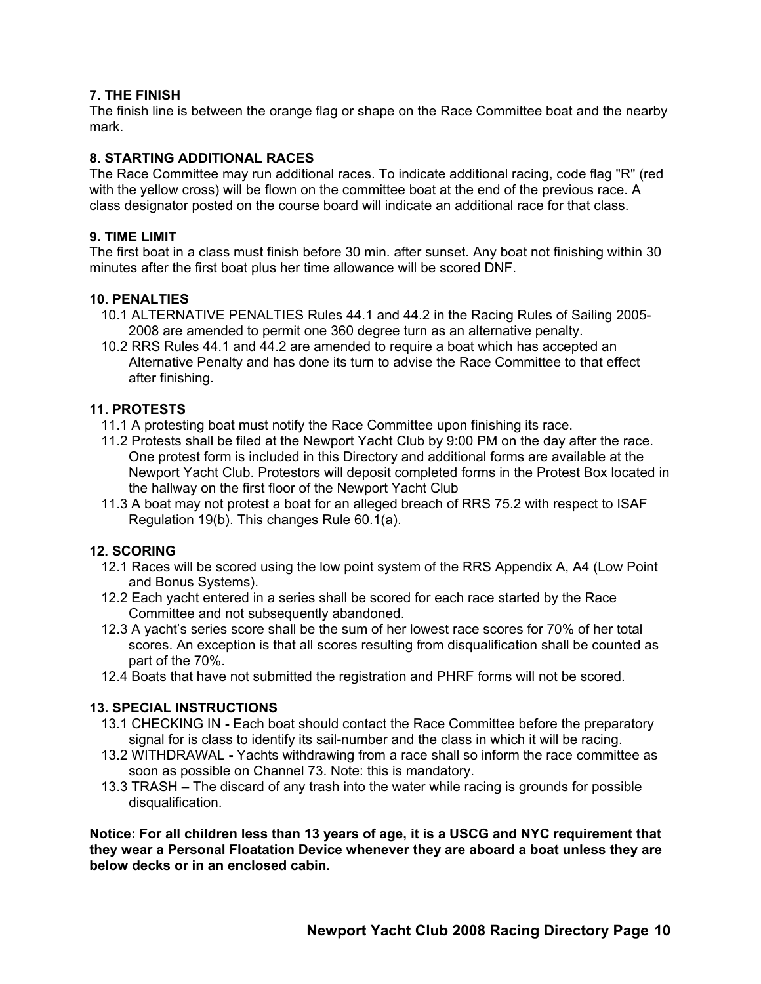#### **7. THE FINISH**

The finish line is between the orange flag or shape on the Race Committee boat and the nearby mark.

#### **8. STARTING ADDITIONAL RACES**

The Race Committee may run additional races. To indicate additional racing, code flag "R" (red with the yellow cross) will be flown on the committee boat at the end of the previous race. A class designator posted on the course board will indicate an additional race for that class.

#### **9. TIME LIMIT**

The first boat in a class must finish before 30 min. after sunset. Any boat not finishing within 30 minutes after the first boat plus her time allowance will be scored DNF.

#### **10. PENALTIES**

- 10.1 ALTERNATIVE PENALTIES Rules 44.1 and 44.2 in the Racing Rules of Sailing 2005- 2008 are amended to permit one 360 degree turn as an alternative penalty.
- 10.2 RRS Rules 44.1 and 44.2 are amended to require a boat which has accepted an Alternative Penalty and has done its turn to advise the Race Committee to that effect after finishing.

#### **11. PROTESTS**

- 11.1 A protesting boat must notify the Race Committee upon finishing its race.
- 11.2 Protests shall be filed at the Newport Yacht Club by 9:00 PM on the day after the race. One protest form is included in this Directory and additional forms are available at the Newport Yacht Club. Protestors will deposit completed forms in the Protest Box located in the hallway on the first floor of the Newport Yacht Club
- 11.3 A boat may not protest a boat for an alleged breach of RRS 75.2 with respect to ISAF Regulation 19(b). This changes Rule 60.1(a).

#### **12. SCORING**

- 12.1 Races will be scored using the low point system of the RRS Appendix A, A4 (Low Point and Bonus Systems).
- 12.2 Each yacht entered in a series shall be scored for each race started by the Race Committee and not subsequently abandoned.
- 12.3 A yacht's series score shall be the sum of her lowest race scores for 70% of her total scores. An exception is that all scores resulting from disqualification shall be counted as part of the 70%.
- 12.4 Boats that have not submitted the registration and PHRF forms will not be scored.

#### **13. SPECIAL INSTRUCTIONS**

- 13.1 CHECKING IN Each boat should contact the Race Committee before the preparatory signal for is class to identify its sail-number and the class in which it will be racing.
- 13.2 WITHDRAWAL Yachts withdrawing from a race shall so inform the race committee as soon as possible on Channel 73. Note: this is mandatory.
- 13.3 TRASH The discard of any trash into the water while racing is grounds for possible disqualification.

**Notice: For all children less than 13 years of age, it is a USCG and NYC requirement that they wear a Personal Floatation Device whenever they are aboard a boat unless they are below decks or in an enclosed cabin.**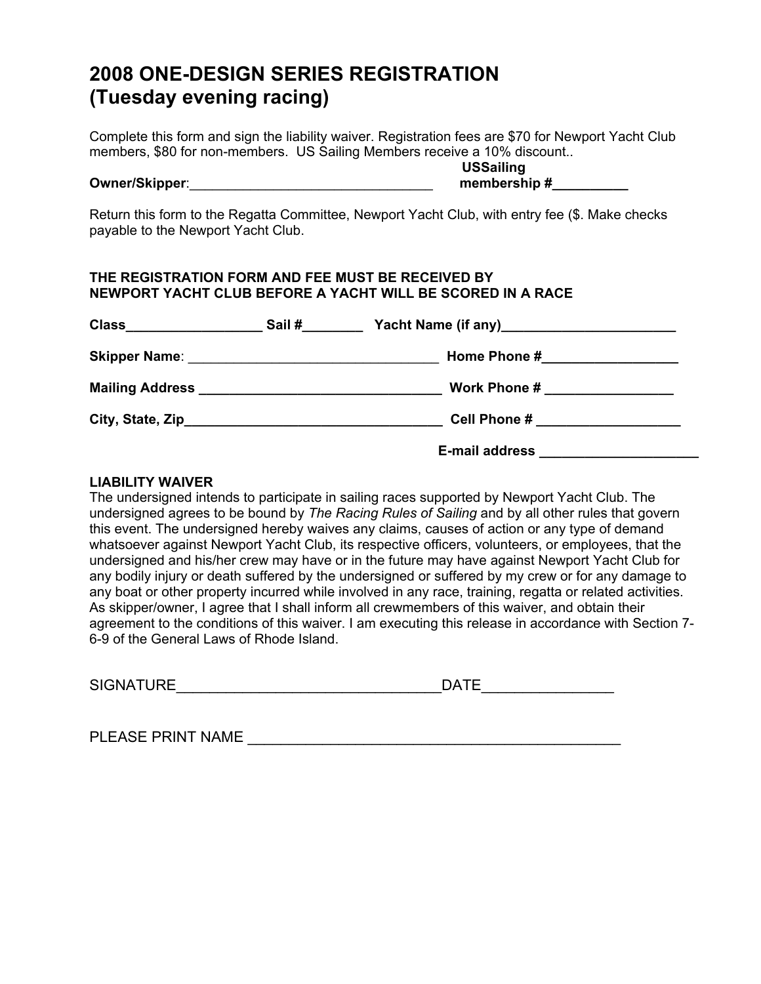### **2008 ONE-DESIGN SERIES REGISTRATION (Tuesday evening racing)**

Complete this form and sign the liability waiver. Registration fees are \$70 for Newport Yacht Club members, \$80 for non-members. US Sailing Members receive a 10% discount..

 **USSailing Owner/Skipper**:\_\_\_\_\_\_\_\_\_\_\_\_\_\_\_\_\_\_\_\_\_\_\_\_\_\_\_\_\_\_\_\_ **membership #\_\_\_\_\_\_\_\_\_\_**

Return this form to the Regatta Committee, Newport Yacht Club, with entry fee (\$. Make checks payable to the Newport Yacht Club.

#### **THE REGISTRATION FORM AND FEE MUST BE RECEIVED BY NEWPORT YACHT CLUB BEFORE A YACHT WILL BE SCORED IN A RACE**

| <b>Class</b><br><u> 1989 - Johann Barbara, martin basa</u> | Sail# |                                 |
|------------------------------------------------------------|-------|---------------------------------|
|                                                            |       | Home Phone #___________________ |
|                                                            |       | Work Phone #                    |
|                                                            |       |                                 |
|                                                            |       | <b>E-mail address</b>           |

#### **LIABILITY WAIVER**

The undersigned intends to participate in sailing races supported by Newport Yacht Club. The undersigned agrees to be bound by *The Racing Rules of Sailing* and by all other rules that govern this event. The undersigned hereby waives any claims, causes of action or any type of demand whatsoever against Newport Yacht Club, its respective officers, volunteers, or employees, that the undersigned and his/her crew may have or in the future may have against Newport Yacht Club for any bodily injury or death suffered by the undersigned or suffered by my crew or for any damage to any boat or other property incurred while involved in any race, training, regatta or related activities. As skipper/owner, I agree that I shall inform all crewmembers of this waiver, and obtain their agreement to the conditions of this waiver. I am executing this release in accordance with Section 7- 6-9 of the General Laws of Rhode Island.

| <b>SIGNATURE</b> | ⋂∆⊤⊑<br>$\mathbf{F}$ |  |
|------------------|----------------------|--|
|                  |                      |  |

PLEASE PRINT NAME \_\_\_\_\_\_\_\_\_\_\_\_\_\_\_\_\_\_\_\_\_\_\_\_\_\_\_\_\_\_\_\_\_\_\_\_\_\_\_\_\_\_\_\_\_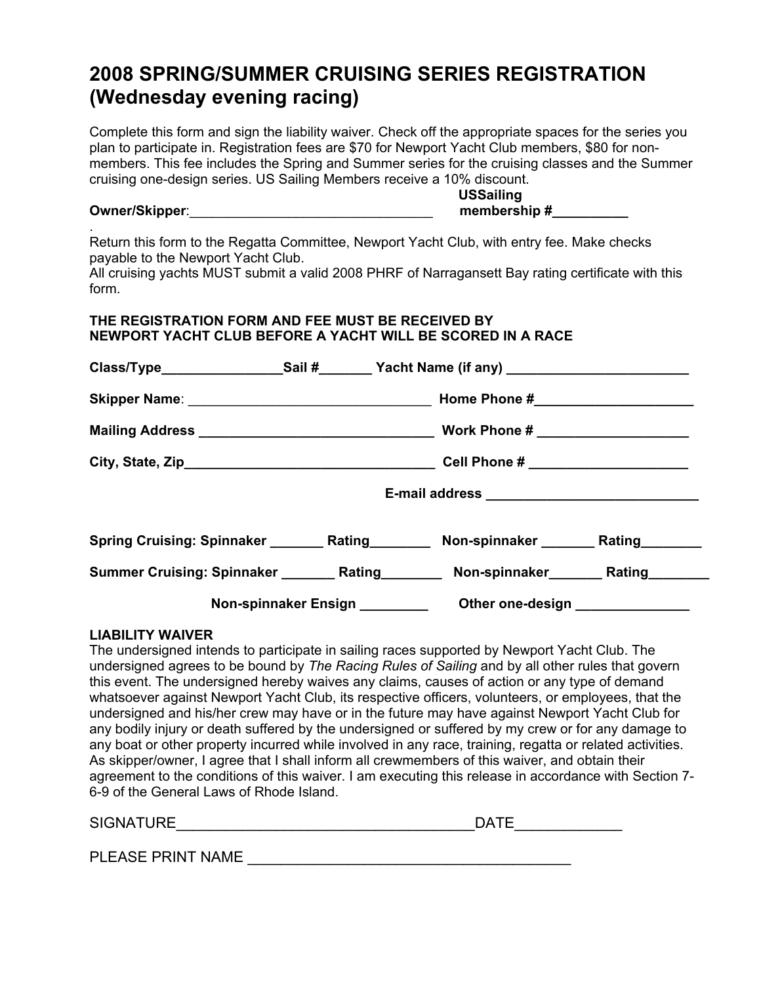### **2008 SPRING/SUMMER CRUISING SERIES REGISTRATION (Wednesday evening racing)**

Complete this form and sign the liability waiver. Check off the appropriate spaces for the series you plan to participate in. Registration fees are \$70 for Newport Yacht Club members, \$80 for nonmembers. This fee includes the Spring and Summer series for the cruising classes and the Summer cruising one-design series. US Sailing Members receive a 10% discount.

### **USSailing Owner/Skipper**:\_\_\_\_\_\_\_\_\_\_\_\_\_\_\_\_\_\_\_\_\_\_\_\_\_\_\_\_\_\_\_\_ **membership #\_\_\_\_\_\_\_\_\_\_**

Return this form to the Regatta Committee, Newport Yacht Club, with entry fee. Make checks payable to the Newport Yacht Club.

All cruising yachts MUST submit a valid 2008 PHRF of Narragansett Bay rating certificate with this form.

#### **THE REGISTRATION FORM AND FEE MUST BE RECEIVED BY NEWPORT YACHT CLUB BEFORE A YACHT WILL BE SCORED IN A RACE**

|  | Class/Type______________________Sail #_________Yacht Name (if any) _________________________________ |  |
|--|------------------------------------------------------------------------------------------------------|--|
|  |                                                                                                      |  |
|  |                                                                                                      |  |
|  |                                                                                                      |  |
|  | E-mail address _________________________________                                                     |  |
|  | Spring Cruising: Spinnaker ___________ Rating _____________ Non-spinnaker _________ Rating ________  |  |
|  | Summer Cruising: Spinnaker _________ Rating _________ Non-spinnaker ________ Rating ________         |  |
|  | Non-spinnaker Ensign _____________ Other one-design _______________                                  |  |

#### **LIABILITY WAIVER**

.

The undersigned intends to participate in sailing races supported by Newport Yacht Club. The undersigned agrees to be bound by *The Racing Rules of Sailing* and by all other rules that govern this event. The undersigned hereby waives any claims, causes of action or any type of demand whatsoever against Newport Yacht Club, its respective officers, volunteers, or employees, that the undersigned and his/her crew may have or in the future may have against Newport Yacht Club for any bodily injury or death suffered by the undersigned or suffered by my crew or for any damage to any boat or other property incurred while involved in any race, training, regatta or related activities. As skipper/owner, I agree that I shall inform all crewmembers of this waiver, and obtain their agreement to the conditions of this waiver. I am executing this release in accordance with Section 7- 6-9 of the General Laws of Rhode Island.

| <b>SIGNATU</b><br>IDF | --<br>$\Lambda$<br>$\overline{\phantom{0}}$ |
|-----------------------|---------------------------------------------|
|                       |                                             |

PLEASE PRINT NAME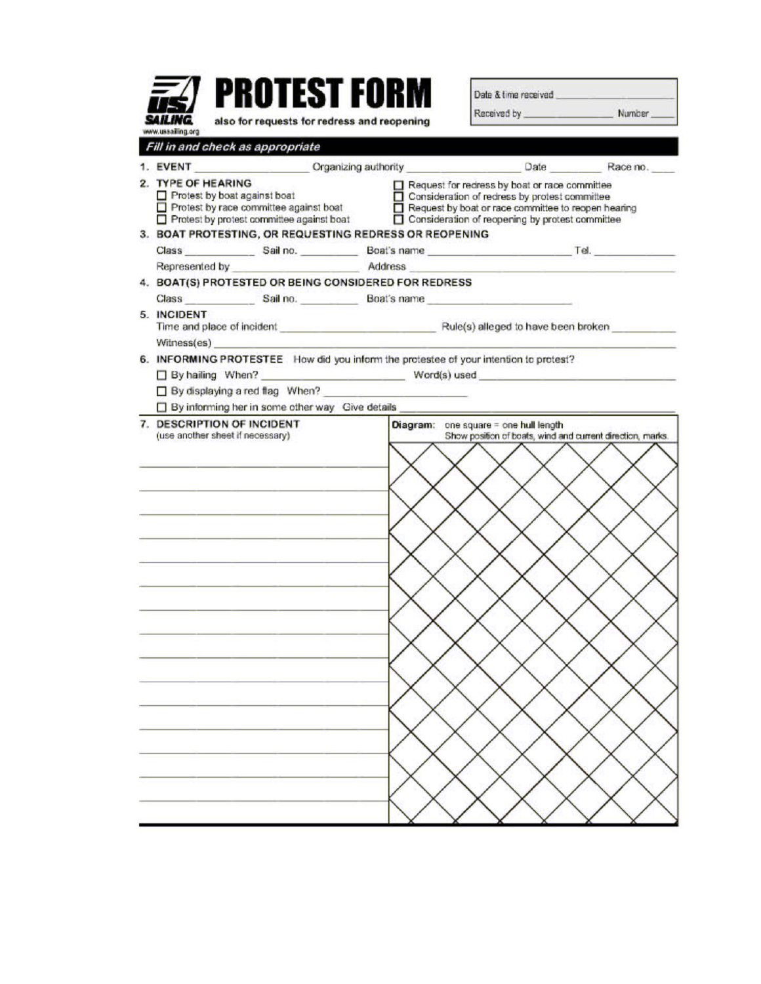|                                                                                                                                                                                 | <b>PROTEST FORM</b>                         |  | Date & time received                                                                                                                                                                                     |  |
|---------------------------------------------------------------------------------------------------------------------------------------------------------------------------------|---------------------------------------------|--|----------------------------------------------------------------------------------------------------------------------------------------------------------------------------------------------------------|--|
| www.ussailing.org                                                                                                                                                               | also for requests for redress and reopening |  |                                                                                                                                                                                                          |  |
| Fill in and check as appropriate                                                                                                                                                |                                             |  |                                                                                                                                                                                                          |  |
|                                                                                                                                                                                 |                                             |  |                                                                                                                                                                                                          |  |
| 2. TYPE OF HEARING<br>Protest by boat against boat<br>□ Protest by boat against boat<br>□ Protest by race committee against boat<br>□ Protest by protest committee against boat |                                             |  | Request for redress by boat or race committee<br>Consideration of redress by protest committee<br>Request by boat or race committee to reopen hearing<br>Consideration of reopening by protest committee |  |
| 3. BOAT PROTESTING, OR REQUESTING REDRESS OR REOPENING                                                                                                                          |                                             |  |                                                                                                                                                                                                          |  |
|                                                                                                                                                                                 |                                             |  |                                                                                                                                                                                                          |  |
| Represented by <b>Address</b> Address                                                                                                                                           |                                             |  |                                                                                                                                                                                                          |  |
| 4. BOAT(S) PROTESTED OR BEING CONSIDERED FOR REDRESS                                                                                                                            |                                             |  |                                                                                                                                                                                                          |  |
|                                                                                                                                                                                 |                                             |  |                                                                                                                                                                                                          |  |
| 5. INCIDENT<br>Witness(es)                                                                                                                                                      |                                             |  |                                                                                                                                                                                                          |  |
|                                                                                                                                                                                 |                                             |  | 6. INFORMING PROTESTEE How did you inform the protestee of your intention to protest?                                                                                                                    |  |
| □ By hailing When?                                                                                                                                                              |                                             |  | $Word(s)$ used $\qquad \qquad$                                                                                                                                                                           |  |
| By displaying a red flag When?                                                                                                                                                  |                                             |  |                                                                                                                                                                                                          |  |
|                                                                                                                                                                                 |                                             |  | By informing her in some other way Give details ________________________________                                                                                                                         |  |
|                                                                                                                                                                                 |                                             |  |                                                                                                                                                                                                          |  |
|                                                                                                                                                                                 |                                             |  |                                                                                                                                                                                                          |  |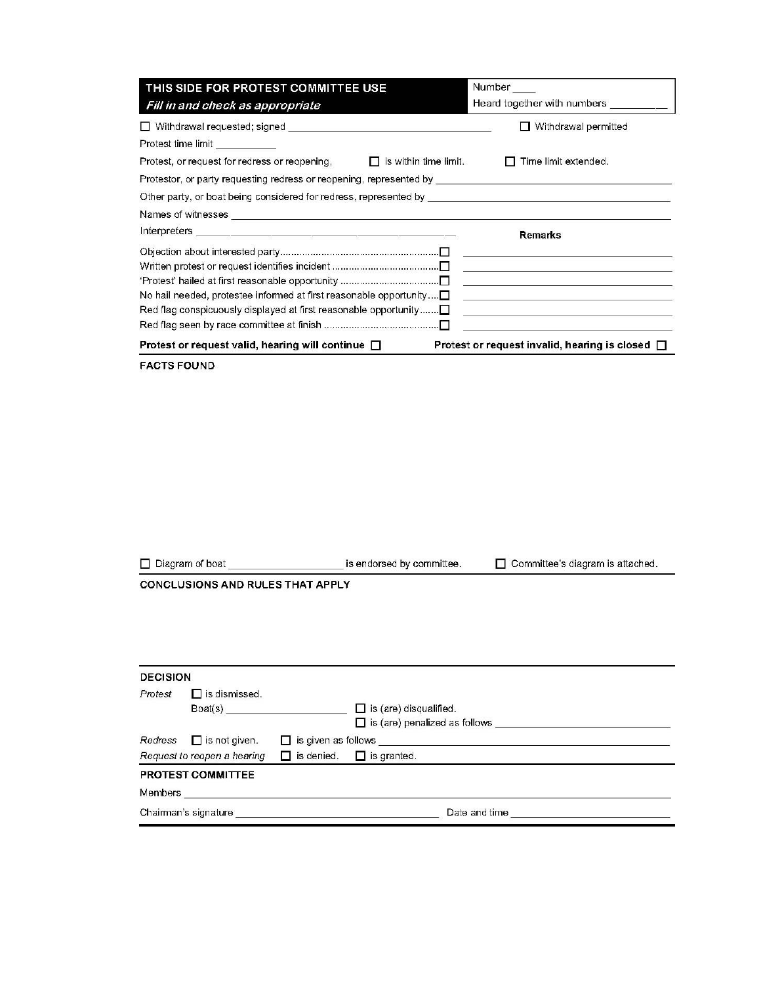| THIS SIDE FOR PROTEST COMMITTEE USE                                                                                                                                                                                           | Number<br>Heard together with numbers __________ |                                                                                                 |
|-------------------------------------------------------------------------------------------------------------------------------------------------------------------------------------------------------------------------------|--------------------------------------------------|-------------------------------------------------------------------------------------------------|
| Fill in and check as appropriate                                                                                                                                                                                              |                                                  |                                                                                                 |
|                                                                                                                                                                                                                               |                                                  | Withdrawal permitted                                                                            |
| Protest time limit                                                                                                                                                                                                            |                                                  |                                                                                                 |
| Protest, or request for redress or reopening,                                                                                                                                                                                 | is within time limit.                            | Time limit extended.                                                                            |
| Protestor, or party requesting redress or reopening, represented by _______________________________                                                                                                                           |                                                  |                                                                                                 |
| Other party, or boat being considered for redress, represented by a measurement of the control of the control of the control of the control of the control of the control of the control of the control of the control of the |                                                  |                                                                                                 |
| Names of witnesses <u>experience and the contract of the contract of the contract of the contract of the contract of</u>                                                                                                      |                                                  |                                                                                                 |
|                                                                                                                                                                                                                               | <b>Remarks</b>                                   |                                                                                                 |
|                                                                                                                                                                                                                               |                                                  |                                                                                                 |
|                                                                                                                                                                                                                               |                                                  | <u> 1989 - Andrea Andrew Maria (h. 1989).</u>                                                   |
|                                                                                                                                                                                                                               |                                                  | <u> 1989 - Johann Barn, fransk politik formuler (d. 1989)</u>                                   |
| No hail needed, protestee informed at first reasonable opportunity $\square$                                                                                                                                                  |                                                  | the contract of the contract of the contract of the contract of the contract of the contract of |
| Red flag conspicuously displayed at first reasonable opportunity $\Box$                                                                                                                                                       |                                                  | <u> 1980 - Johann Barbara, martxa amerikan personal (h. 1980).</u>                              |
|                                                                                                                                                                                                                               |                                                  |                                                                                                 |
| Protest or request valid, hearing will continue $\Box$                                                                                                                                                                        |                                                  | Protest or request invalid, hearing is closed $\Box$                                            |

**FACTS FOUND** 

Diagram of boat \_\_\_\_\_\_\_\_\_\_\_\_\_\_\_\_\_\_\_\_\_\_\_\_\_\_\_ is endorsed by committee. □ Committee's diagram is attached.

CONCLUSIONS AND RULES THAT APPLY

| <b>DECISION</b>                                              |                                  |  |                                      |  |
|--------------------------------------------------------------|----------------------------------|--|--------------------------------------|--|
| Protest                                                      | $\Box$ is dismissed.<br>Board(s) |  | $\Box$ is (are) disqualified.        |  |
|                                                              |                                  |  | $\Box$ is (are) penalized as follows |  |
| $Redress$ $\Box$ is not given.<br>$\Box$ is given as follows |                                  |  |                                      |  |
|                                                              | Request to reopen a hearing      |  | $\Box$ is denied. $\Box$ is granted. |  |
|                                                              | <b>PROTEST COMMITTEE</b>         |  |                                      |  |
| Members                                                      |                                  |  |                                      |  |
|                                                              | Chairman's signature             |  | Date and time                        |  |